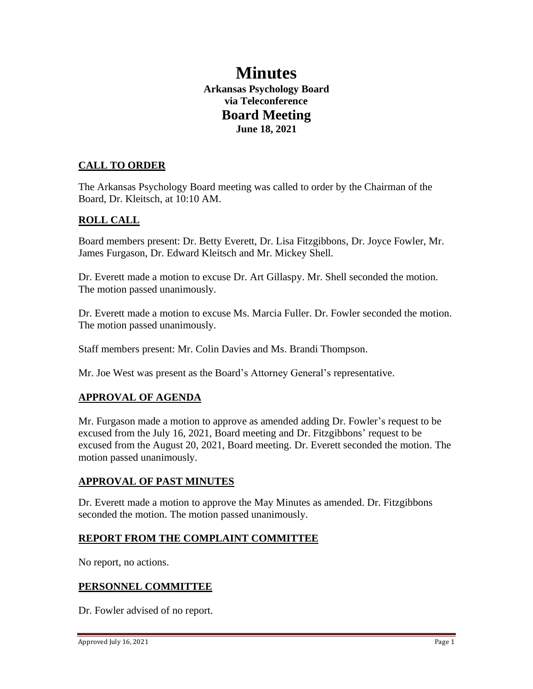# **Minutes Arkansas Psychology Board via Teleconference Board Meeting June 18, 2021**

## **CALL TO ORDER**

The Arkansas Psychology Board meeting was called to order by the Chairman of the Board, Dr. Kleitsch, at 10:10 AM.

#### **ROLL CALL**

Board members present: Dr. Betty Everett, Dr. Lisa Fitzgibbons, Dr. Joyce Fowler, Mr. James Furgason, Dr. Edward Kleitsch and Mr. Mickey Shell.

Dr. Everett made a motion to excuse Dr. Art Gillaspy. Mr. Shell seconded the motion. The motion passed unanimously.

Dr. Everett made a motion to excuse Ms. Marcia Fuller. Dr. Fowler seconded the motion. The motion passed unanimously.

Staff members present: Mr. Colin Davies and Ms. Brandi Thompson.

Mr. Joe West was present as the Board's Attorney General's representative.

## **APPROVAL OF AGENDA**

Mr. Furgason made a motion to approve as amended adding Dr. Fowler's request to be excused from the July 16, 2021, Board meeting and Dr. Fitzgibbons' request to be excused from the August 20, 2021, Board meeting. Dr. Everett seconded the motion. The motion passed unanimously.

#### **APPROVAL OF PAST MINUTES**

Dr. Everett made a motion to approve the May Minutes as amended. Dr. Fitzgibbons seconded the motion. The motion passed unanimously.

#### **REPORT FROM THE COMPLAINT COMMITTEE**

No report, no actions.

#### **PERSONNEL COMMITTEE**

Dr. Fowler advised of no report.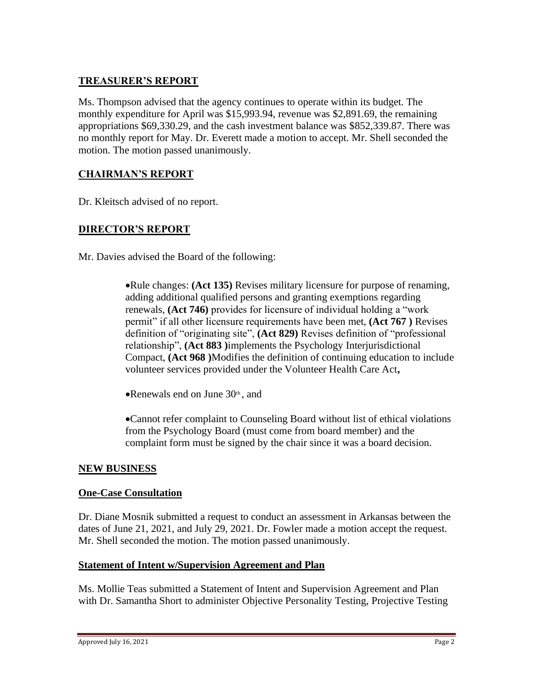## **TREASURER'S REPORT**

Ms. Thompson advised that the agency continues to operate within its budget. The monthly expenditure for April was \$15,993.94, revenue was \$2,891.69, the remaining appropriations \$69,330.29, and the cash investment balance was \$852,339.87. There was no monthly report for May. Dr. Everett made a motion to accept. Mr. Shell seconded the motion. The motion passed unanimously.

#### **CHAIRMAN'S REPORT**

Dr. Kleitsch advised of no report.

## **DIRECTOR'S REPORT**

Mr. Davies advised the Board of the following:

•Rule changes: **(Act 135)** Revises military licensure for purpose of renaming, adding additional qualified persons and granting exemptions regarding renewals, **(Act 746)** provides for licensure of individual holding a "work permit" if all other licensure requirements have been met, **(Act 767 )** Revises definition of "originating site", **(Act 829)** Revises definition of "professional relationship", **(Act 883 )**implements the Psychology Interjurisdictional Compact, **(Act 968 )**Modifies the definition of continuing education to include volunteer services provided under the Volunteer Health Care Act**,**

•Renewals end on June  $30<sup>th</sup>$ , and

•Cannot refer complaint to Counseling Board without list of ethical violations from the Psychology Board (must come from board member) and the complaint form must be signed by the chair since it was a board decision.

#### **NEW BUSINESS**

#### **One-Case Consultation**

Dr. Diane Mosnik submitted a request to conduct an assessment in Arkansas between the dates of June 21, 2021, and July 29, 2021. Dr. Fowler made a motion accept the request. Mr. Shell seconded the motion. The motion passed unanimously.

#### **Statement of Intent w/Supervision Agreement and Plan**

Ms. Mollie Teas submitted a Statement of Intent and Supervision Agreement and Plan with Dr. Samantha Short to administer Objective Personality Testing, Projective Testing